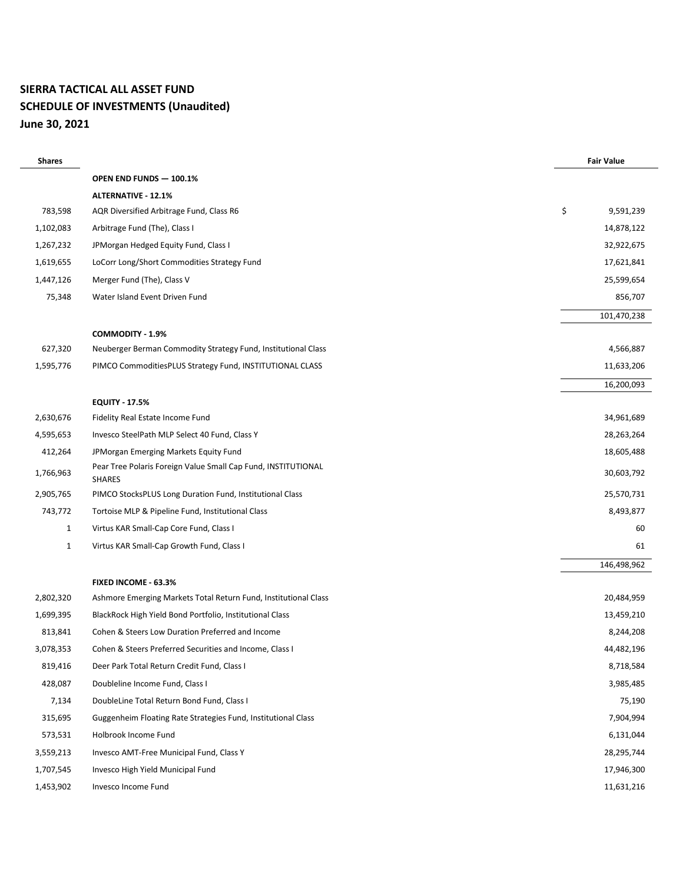# **SIERRA TACTICAL ALL ASSET FUND SCHEDULE OF INVESTMENTS (Unaudited) June 30, 2021**

| <b>Shares</b> |                                                                                | <b>Fair Value</b> |
|---------------|--------------------------------------------------------------------------------|-------------------|
|               | OPEN END FUNDS - 100.1%                                                        |                   |
|               | <b>ALTERNATIVE - 12.1%</b>                                                     |                   |
| 783,598       | AQR Diversified Arbitrage Fund, Class R6                                       | \$<br>9,591,239   |
| 1,102,083     | Arbitrage Fund (The), Class I                                                  | 14,878,122        |
| 1,267,232     | JPMorgan Hedged Equity Fund, Class I                                           | 32,922,675        |
| 1,619,655     | LoCorr Long/Short Commodities Strategy Fund                                    | 17,621,841        |
| 1,447,126     | Merger Fund (The), Class V                                                     | 25,599,654        |
| 75,348        | Water Island Event Driven Fund                                                 | 856,707           |
|               |                                                                                | 101,470,238       |
|               | <b>COMMODITY - 1.9%</b>                                                        |                   |
| 627,320       | Neuberger Berman Commodity Strategy Fund, Institutional Class                  | 4,566,887         |
| 1,595,776     | PIMCO CommoditiesPLUS Strategy Fund, INSTITUTIONAL CLASS                       | 11,633,206        |
|               |                                                                                | 16,200,093        |
|               | <b>EQUITY - 17.5%</b>                                                          |                   |
| 2,630,676     | Fidelity Real Estate Income Fund                                               | 34,961,689        |
| 4,595,653     | Invesco SteelPath MLP Select 40 Fund, Class Y                                  | 28,263,264        |
| 412,264       | JPMorgan Emerging Markets Equity Fund                                          | 18,605,488        |
| 1,766,963     | Pear Tree Polaris Foreign Value Small Cap Fund, INSTITUTIONAL<br><b>SHARES</b> | 30,603,792        |
| 2,905,765     | PIMCO StocksPLUS Long Duration Fund, Institutional Class                       | 25,570,731        |
| 743,772       | Tortoise MLP & Pipeline Fund, Institutional Class                              | 8,493,877         |
| $\mathbf{1}$  | Virtus KAR Small-Cap Core Fund, Class I                                        | 60                |
| $\mathbf{1}$  | Virtus KAR Small-Cap Growth Fund, Class I                                      | 61                |
|               |                                                                                | 146,498,962       |
|               | FIXED INCOME - 63.3%                                                           |                   |
| 2,802,320     | Ashmore Emerging Markets Total Return Fund, Institutional Class                | 20,484,959        |
| 1,699,395     | BlackRock High Yield Bond Portfolio, Institutional Class                       | 13,459,210        |
| 813,841       | Cohen & Steers Low Duration Preferred and Income                               | 8,244,208         |
| 3,078,353     | Cohen & Steers Preferred Securities and Income, Class I                        | 44,482,196        |
| 819,416       | Deer Park Total Return Credit Fund, Class I                                    | 8,718,584         |
| 428,087       | Doubleline Income Fund, Class I                                                | 3,985,485         |
| 7,134         | DoubleLine Total Return Bond Fund, Class I                                     | 75,190            |
| 315,695       | Guggenheim Floating Rate Strategies Fund, Institutional Class                  | 7,904,994         |
| 573,531       | Holbrook Income Fund                                                           | 6,131,044         |
| 3,559,213     | Invesco AMT-Free Municipal Fund, Class Y                                       | 28,295,744        |
| 1,707,545     | Invesco High Yield Municipal Fund                                              | 17,946,300        |
| 1,453,902     | Invesco Income Fund                                                            | 11,631,216        |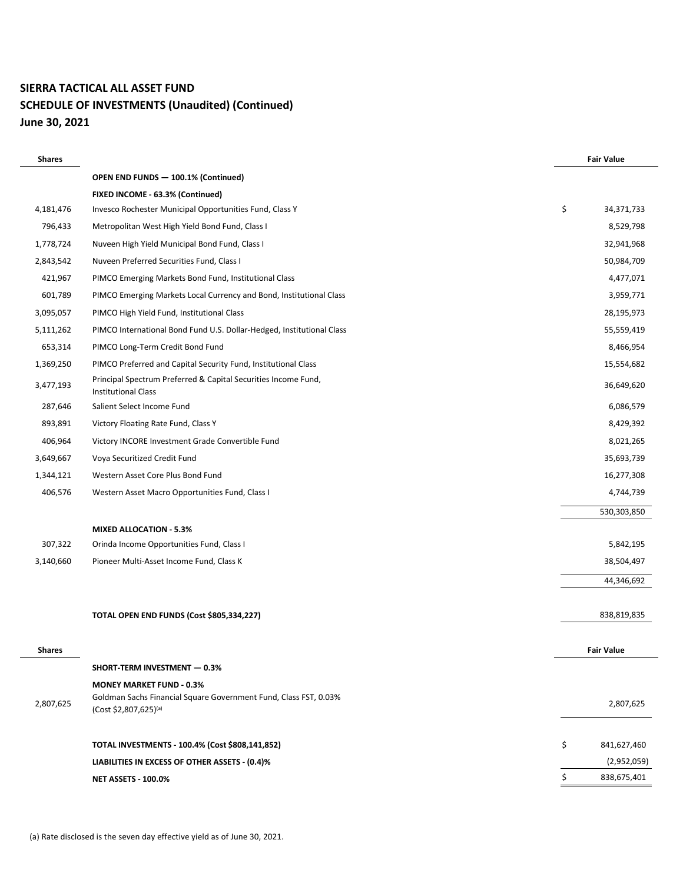# **SIERRA TACTICAL ALL ASSET FUND SCHEDULE OF INVESTMENTS (Unaudited) (Continued) June 30, 2021**

| <b>Shares</b> |                                                                                               | <b>Fair Value</b> |  |
|---------------|-----------------------------------------------------------------------------------------------|-------------------|--|
|               | OPEN END FUNDS - 100.1% (Continued)                                                           |                   |  |
|               | FIXED INCOME - 63.3% (Continued)                                                              |                   |  |
| 4,181,476     | Invesco Rochester Municipal Opportunities Fund, Class Y                                       | \$<br>34,371,733  |  |
| 796,433       | Metropolitan West High Yield Bond Fund, Class I                                               | 8,529,798         |  |
| 1,778,724     | Nuveen High Yield Municipal Bond Fund, Class I                                                | 32,941,968        |  |
| 2,843,542     | Nuveen Preferred Securities Fund, Class I                                                     | 50,984,709        |  |
| 421,967       | PIMCO Emerging Markets Bond Fund, Institutional Class                                         | 4,477,071         |  |
| 601,789       | PIMCO Emerging Markets Local Currency and Bond, Institutional Class                           | 3,959,771         |  |
| 3,095,057     | PIMCO High Yield Fund, Institutional Class                                                    | 28,195,973        |  |
| 5,111,262     | PIMCO International Bond Fund U.S. Dollar-Hedged, Institutional Class                         | 55,559,419        |  |
| 653,314       | PIMCO Long-Term Credit Bond Fund                                                              | 8,466,954         |  |
| 1,369,250     | PIMCO Preferred and Capital Security Fund, Institutional Class                                | 15,554,682        |  |
| 3,477,193     | Principal Spectrum Preferred & Capital Securities Income Fund,<br><b>Institutional Class</b>  | 36,649,620        |  |
| 287,646       | Salient Select Income Fund                                                                    | 6,086,579         |  |
| 893,891       | Victory Floating Rate Fund, Class Y                                                           | 8,429,392         |  |
| 406,964       | Victory INCORE Investment Grade Convertible Fund                                              | 8,021,265         |  |
| 3,649,667     | Voya Securitized Credit Fund                                                                  | 35,693,739        |  |
| 1,344,121     | Western Asset Core Plus Bond Fund                                                             | 16,277,308        |  |
| 406,576       | Western Asset Macro Opportunities Fund, Class I                                               | 4,744,739         |  |
|               |                                                                                               | 530,303,850       |  |
|               | <b>MIXED ALLOCATION - 5.3%</b>                                                                |                   |  |
| 307,322       | Orinda Income Opportunities Fund, Class I                                                     | 5,842,195         |  |
| 3,140,660     | Pioneer Multi-Asset Income Fund, Class K                                                      | 38,504,497        |  |
|               |                                                                                               | 44,346,692        |  |
|               |                                                                                               |                   |  |
|               | TOTAL OPEN END FUNDS (Cost \$805,334,227)                                                     | 838,819,835       |  |
|               |                                                                                               |                   |  |
| <b>Shares</b> |                                                                                               | <b>Fair Value</b> |  |
|               | SHORT-TERM INVESTMENT - 0.3%                                                                  |                   |  |
|               | <b>MONEY MARKET FUND - 0.3%</b>                                                               |                   |  |
| 2,807,625     | Goldman Sachs Financial Square Government Fund, Class FST, 0.03%<br>$(Cost $2,807,625)^{(a)}$ | 2,807,625         |  |
|               | TOTAL INVESTMENTS - 100.4% (Cost \$808,141,852)                                               | \$<br>841,627,460 |  |
|               | LIABILITIES IN EXCESS OF OTHER ASSETS - (0.4)%                                                | (2,952,059)       |  |
|               | <b>NET ASSETS - 100.0%</b>                                                                    | \$<br>838,675,401 |  |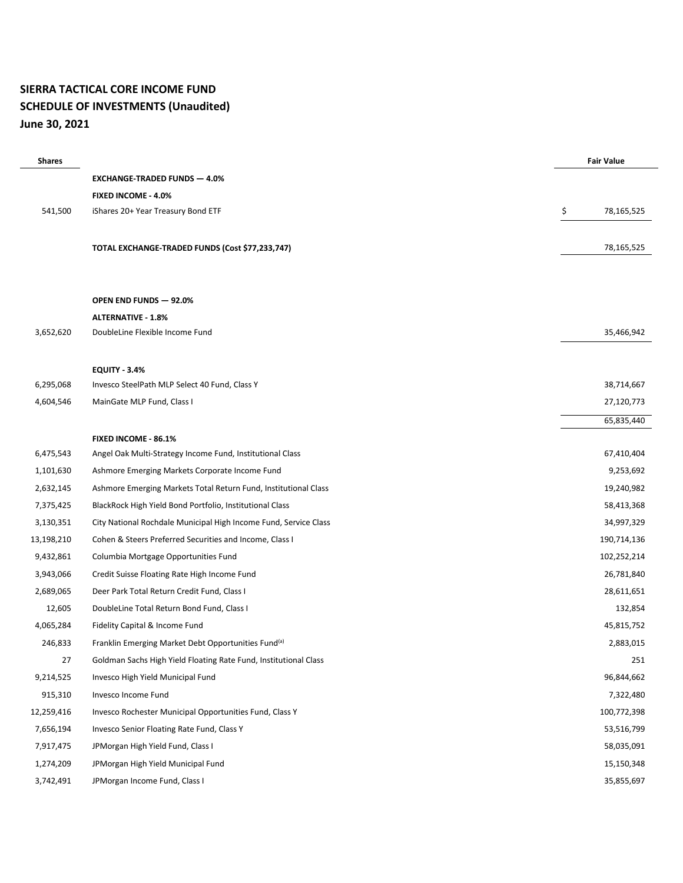#### **SIERRA TACTICAL CORE INCOME FUND SCHEDULE OF INVESTMENTS (Unaudited) June 30, 2021**

| <b>Shares</b> |                                                                  |    | <b>Fair Value</b> |
|---------------|------------------------------------------------------------------|----|-------------------|
|               | <b>EXCHANGE-TRADED FUNDS - 4.0%</b>                              |    |                   |
|               | <b>FIXED INCOME - 4.0%</b>                                       |    |                   |
| 541,500       | iShares 20+ Year Treasury Bond ETF                               | \$ | 78,165,525        |
|               |                                                                  |    |                   |
|               | TOTAL EXCHANGE-TRADED FUNDS (Cost \$77,233,747)                  |    | 78,165,525        |
|               |                                                                  |    |                   |
|               |                                                                  |    |                   |
|               | <b>OPEN END FUNDS - 92.0%</b>                                    |    |                   |
|               | <b>ALTERNATIVE - 1.8%</b>                                        |    |                   |
| 3,652,620     | DoubleLine Flexible Income Fund                                  |    | 35,466,942        |
|               |                                                                  |    |                   |
|               | <b>EQUITY - 3.4%</b>                                             |    |                   |
| 6,295,068     | Invesco SteelPath MLP Select 40 Fund, Class Y                    |    | 38,714,667        |
| 4,604,546     | MainGate MLP Fund, Class I                                       |    | 27,120,773        |
|               |                                                                  |    | 65,835,440        |
|               | <b>FIXED INCOME - 86.1%</b>                                      |    |                   |
| 6,475,543     | Angel Oak Multi-Strategy Income Fund, Institutional Class        |    | 67,410,404        |
| 1,101,630     | Ashmore Emerging Markets Corporate Income Fund                   |    | 9,253,692         |
| 2,632,145     | Ashmore Emerging Markets Total Return Fund, Institutional Class  |    | 19,240,982        |
| 7,375,425     | BlackRock High Yield Bond Portfolio, Institutional Class         |    | 58,413,368        |
| 3,130,351     | City National Rochdale Municipal High Income Fund, Service Class |    | 34,997,329        |
| 13,198,210    | Cohen & Steers Preferred Securities and Income, Class I          |    | 190,714,136       |
| 9,432,861     | Columbia Mortgage Opportunities Fund                             |    | 102,252,214       |
| 3,943,066     | Credit Suisse Floating Rate High Income Fund                     |    | 26,781,840        |
| 2,689,065     | Deer Park Total Return Credit Fund, Class I                      |    | 28,611,651        |
| 12,605        | DoubleLine Total Return Bond Fund, Class I                       |    | 132,854           |
| 4,065,284     | Fidelity Capital & Income Fund                                   |    | 45,815,752        |
| 246,833       | Franklin Emerging Market Debt Opportunities Fund <sup>(a)</sup>  |    | 2,883,015         |
| 27            | Goldman Sachs High Yield Floating Rate Fund, Institutional Class |    | 251               |
| 9,214,525     | Invesco High Yield Municipal Fund                                |    | 96,844,662        |
| 915,310       | Invesco Income Fund                                              |    | 7,322,480         |
| 12,259,416    | Invesco Rochester Municipal Opportunities Fund, Class Y          |    | 100,772,398       |
| 7,656,194     | Invesco Senior Floating Rate Fund, Class Y                       |    | 53,516,799        |
| 7,917,475     | JPMorgan High Yield Fund, Class I                                |    | 58,035,091        |
| 1,274,209     | JPMorgan High Yield Municipal Fund                               |    | 15,150,348        |
| 3,742,491     | JPMorgan Income Fund, Class I                                    |    | 35,855,697        |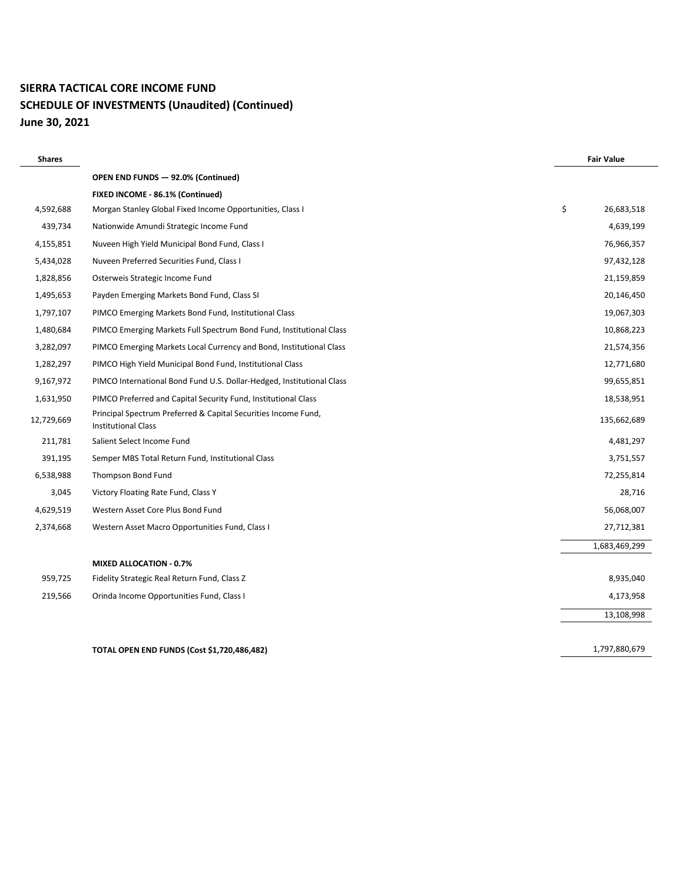# **SIERRA TACTICAL CORE INCOME FUND SCHEDULE OF INVESTMENTS (Unaudited) (Continued) June 30, 2021**

| <b>Shares</b> |                                                                                              | <b>Fair Value</b> |        |
|---------------|----------------------------------------------------------------------------------------------|-------------------|--------|
|               | OPEN END FUNDS - 92.0% (Continued)                                                           |                   |        |
|               | FIXED INCOME - 86.1% (Continued)                                                             |                   |        |
| 4,592,688     | Morgan Stanley Global Fixed Income Opportunities, Class I                                    | \$<br>26,683,518  |        |
| 439,734       | Nationwide Amundi Strategic Income Fund                                                      | 4,639,199         |        |
| 4,155,851     | Nuveen High Yield Municipal Bond Fund, Class I                                               | 76,966,357        |        |
| 5,434,028     | Nuveen Preferred Securities Fund, Class I                                                    | 97,432,128        |        |
| 1,828,856     | Osterweis Strategic Income Fund                                                              | 21,159,859        |        |
| 1,495,653     | Payden Emerging Markets Bond Fund, Class SI                                                  | 20,146,450        |        |
| 1,797,107     | PIMCO Emerging Markets Bond Fund, Institutional Class                                        | 19,067,303        |        |
| 1,480,684     | PIMCO Emerging Markets Full Spectrum Bond Fund, Institutional Class                          | 10,868,223        |        |
| 3,282,097     | PIMCO Emerging Markets Local Currency and Bond, Institutional Class                          | 21,574,356        |        |
| 1,282,297     | PIMCO High Yield Municipal Bond Fund, Institutional Class                                    | 12,771,680        |        |
| 9,167,972     | PIMCO International Bond Fund U.S. Dollar-Hedged, Institutional Class                        | 99,655,851        |        |
| 1,631,950     | PIMCO Preferred and Capital Security Fund, Institutional Class                               | 18,538,951        |        |
| 12,729,669    | Principal Spectrum Preferred & Capital Securities Income Fund,<br><b>Institutional Class</b> | 135,662,689       |        |
| 211,781       | Salient Select Income Fund                                                                   | 4,481,297         |        |
| 391,195       | Semper MBS Total Return Fund, Institutional Class                                            | 3,751,557         |        |
| 6,538,988     | Thompson Bond Fund                                                                           | 72,255,814        |        |
| 3,045         | Victory Floating Rate Fund, Class Y                                                          |                   | 28,716 |
| 4,629,519     | Western Asset Core Plus Bond Fund                                                            | 56,068,007        |        |
| 2,374,668     | Western Asset Macro Opportunities Fund, Class I                                              | 27,712,381        |        |
|               |                                                                                              | 1,683,469,299     |        |
|               | <b>MIXED ALLOCATION - 0.7%</b>                                                               |                   |        |
| 959,725       | Fidelity Strategic Real Return Fund, Class Z                                                 | 8,935,040         |        |
| 219,566       | Orinda Income Opportunities Fund, Class I                                                    | 4,173,958         |        |
|               |                                                                                              | 13,108,998        |        |
|               | <b>TOTAL OPEN END FUNDS (Cost \$1,720,486,482)</b>                                           | 1,797,880,679     |        |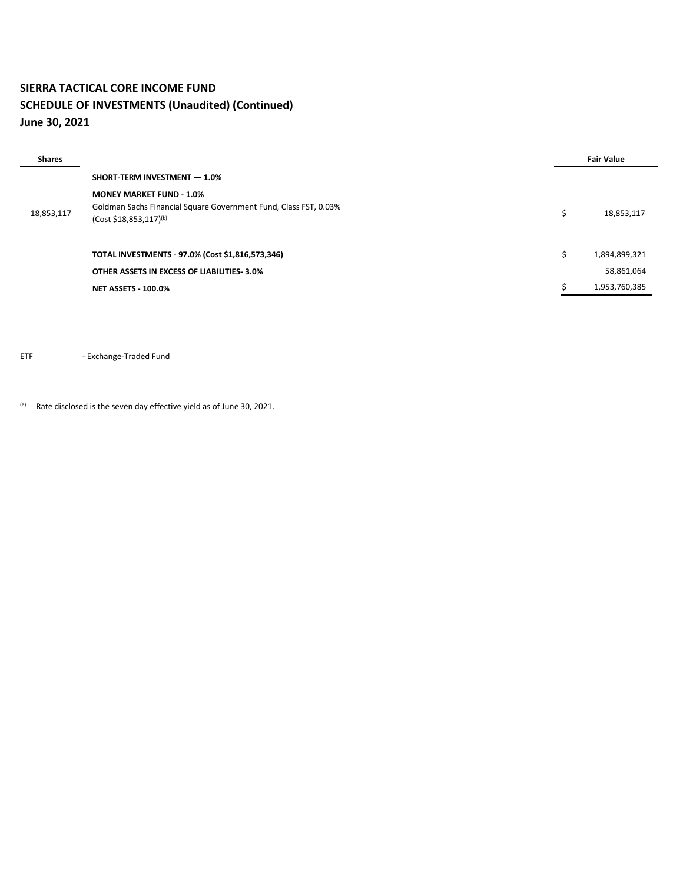#### **SIERRA TACTICAL CORE INCOME FUND SCHEDULE OF INVESTMENTS (Unaudited) (Continued) June 30, 2021**

| <b>Shares</b> |                                                                                                        |   | <b>Fair Value</b> |
|---------------|--------------------------------------------------------------------------------------------------------|---|-------------------|
|               | SHORT-TERM INVESTMENT - 1.0%                                                                           |   |                   |
|               | <b>MONEY MARKET FUND - 1.0%</b>                                                                        |   |                   |
| 18,853,117    | Goldman Sachs Financial Square Government Fund, Class FST, 0.03%<br>(Cost \$18,853,117) <sup>(b)</sup> | Ś | 18,853,117        |
|               | TOTAL INVESTMENTS - 97.0% (Cost \$1,816,573,346)                                                       | Ś | 1,894,899,321     |
|               | OTHER ASSETS IN EXCESS OF LIABILITIES 3.0%                                                             |   | 58,861,064        |
|               | <b>NET ASSETS - 100.0%</b>                                                                             |   | 1,953,760,385     |

ETF - Exchange-Traded Fund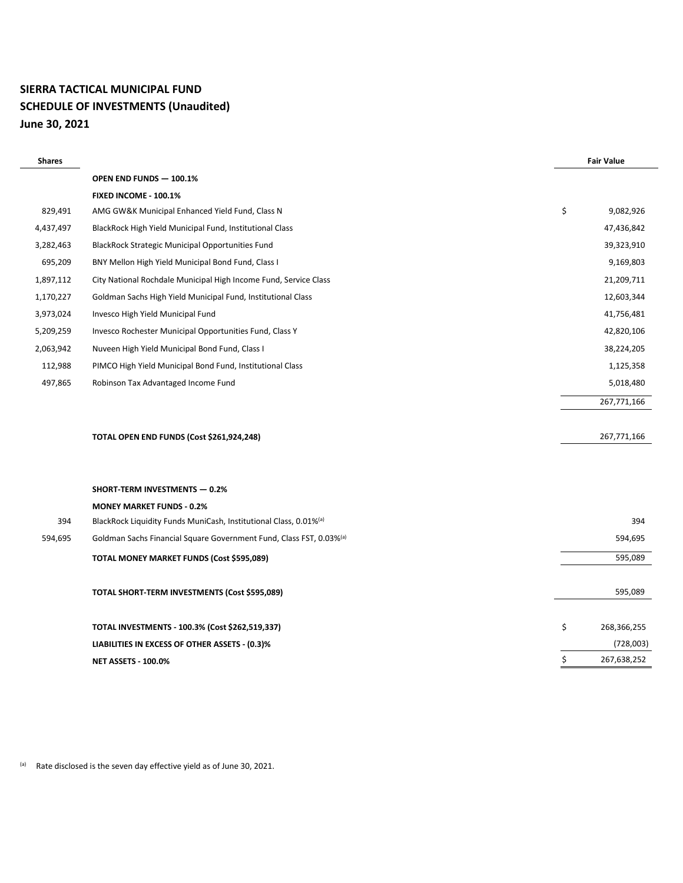#### **SIERRA TACTICAL MUNICIPAL FUND SCHEDULE OF INVESTMENTS (Unaudited) June 30, 2021**

| <b>Shares</b> |                                                                                 | <b>Fair Value</b> |
|---------------|---------------------------------------------------------------------------------|-------------------|
|               | OPEN END FUNDS - 100.1%                                                         |                   |
|               | FIXED INCOME - 100.1%                                                           |                   |
| 829,491       | AMG GW&K Municipal Enhanced Yield Fund, Class N                                 | \$<br>9,082,926   |
| 4,437,497     | BlackRock High Yield Municipal Fund, Institutional Class                        | 47,436,842        |
| 3,282,463     | <b>BlackRock Strategic Municipal Opportunities Fund</b>                         | 39,323,910        |
| 695,209       | BNY Mellon High Yield Municipal Bond Fund, Class I                              | 9,169,803         |
| 1,897,112     | City National Rochdale Municipal High Income Fund, Service Class                | 21,209,711        |
| 1,170,227     | Goldman Sachs High Yield Municipal Fund, Institutional Class                    | 12,603,344        |
| 3,973,024     | Invesco High Yield Municipal Fund                                               | 41,756,481        |
| 5,209,259     | Invesco Rochester Municipal Opportunities Fund, Class Y                         | 42,820,106        |
| 2,063,942     | Nuveen High Yield Municipal Bond Fund, Class I                                  | 38,224,205        |
| 112,988       | PIMCO High Yield Municipal Bond Fund, Institutional Class                       | 1,125,358         |
| 497,865       | Robinson Tax Advantaged Income Fund                                             | 5,018,480         |
|               |                                                                                 | 267,771,166       |
|               |                                                                                 |                   |
|               | TOTAL OPEN END FUNDS (Cost \$261,924,248)                                       | 267,771,166       |
|               |                                                                                 |                   |
|               |                                                                                 |                   |
|               | <b>SHORT-TERM INVESTMENTS - 0.2%</b>                                            |                   |
|               | <b>MONEY MARKET FUNDS - 0.2%</b>                                                |                   |
| 394           | BlackRock Liquidity Funds MuniCash, Institutional Class, 0.01% <sup>(a)</sup>   | 394               |
| 594,695       | Goldman Sachs Financial Square Government Fund, Class FST, 0.03% <sup>(a)</sup> | 594,695           |
|               | TOTAL MONEY MARKET FUNDS (Cost \$595,089)                                       | 595,089           |
|               | TOTAL SHORT-TERM INVESTMENTS (Cost \$595,089)                                   | 595,089           |
|               |                                                                                 |                   |
|               | TOTAL INVESTMENTS - 100.3% (Cost \$262,519,337)                                 | \$<br>268,366,255 |
|               | LIABILITIES IN EXCESS OF OTHER ASSETS - (0.3)%                                  | (728,003)         |
|               | <b>NET ASSETS - 100.0%</b>                                                      | \$<br>267,638,252 |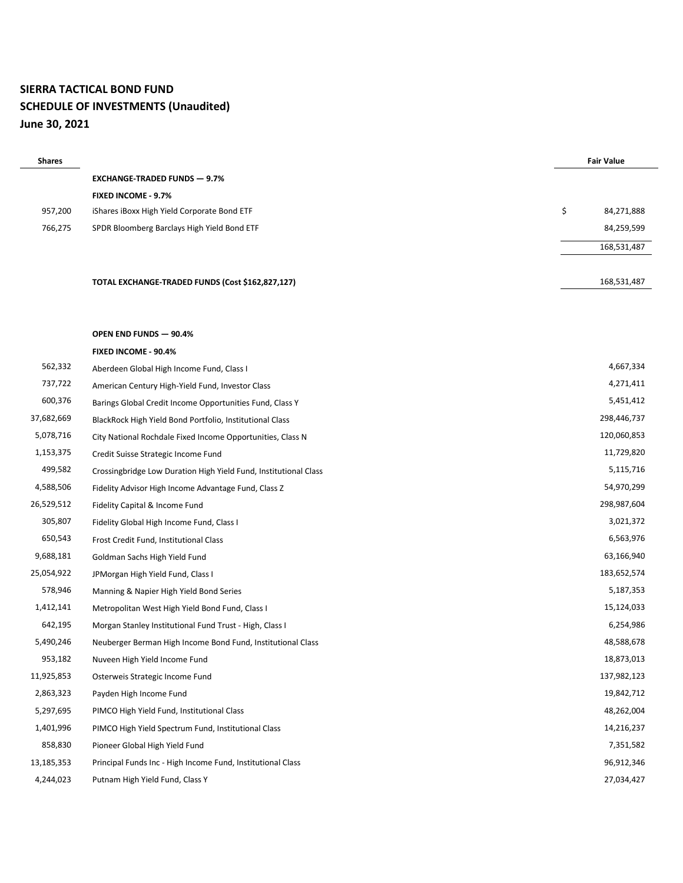#### **SIERRA TACTICAL BOND FUND SCHEDULE OF INVESTMENTS (Unaudited) June 30, 2021**

| <b>Shares</b> |                                             |    | <b>Fair Value</b> |
|---------------|---------------------------------------------|----|-------------------|
|               | <b>EXCHANGE TRADED FUNDS - 9.7%</b>         |    |                   |
|               | <b>FIXED INCOME - 9.7%</b>                  |    |                   |
| 957,200       | iShares iBoxx High Yield Corporate Bond ETF | Ś. | 84,271,888        |
| 766,275       | SPDR Bloomberg Barclays High Yield Bond ETF |    | 84,259,599        |
|               |                                             |    | 168,531,487       |

168,531,487

#### **OPEN END FUNDS — 90.4%**

|            | FIXED INCOME - 90.4%                                             |             |
|------------|------------------------------------------------------------------|-------------|
| 562,332    | Aberdeen Global High Income Fund, Class I                        | 4,667,334   |
| 737,722    | American Century High-Yield Fund, Investor Class                 | 4,271,411   |
| 600,376    | Barings Global Credit Income Opportunities Fund, Class Y         | 5,451,412   |
| 37,682,669 | BlackRock High Yield Bond Portfolio, Institutional Class         | 298,446,737 |
| 5,078,716  | City National Rochdale Fixed Income Opportunities, Class N       | 120,060,853 |
| 1,153,375  | Credit Suisse Strategic Income Fund                              | 11,729,820  |
| 499,582    | Crossingbridge Low Duration High Yield Fund, Institutional Class | 5,115,716   |
| 4,588,506  | Fidelity Advisor High Income Advantage Fund, Class Z             | 54,970,299  |
| 26,529,512 | Fidelity Capital & Income Fund                                   | 298,987,604 |
| 305,807    | Fidelity Global High Income Fund, Class I                        | 3,021,372   |
| 650,543    | Frost Credit Fund, Institutional Class                           | 6,563,976   |
| 9,688,181  | Goldman Sachs High Yield Fund                                    | 63,166,940  |
| 25,054,922 | JPMorgan High Yield Fund, Class I                                | 183,652,574 |
| 578,946    | Manning & Napier High Yield Bond Series                          | 5,187,353   |
| 1,412,141  | Metropolitan West High Yield Bond Fund, Class I                  | 15,124,033  |
| 642,195    | Morgan Stanley Institutional Fund Trust - High, Class I          | 6,254,986   |
| 5,490,246  | Neuberger Berman High Income Bond Fund, Institutional Class      | 48,588,678  |
| 953,182    | Nuveen High Yield Income Fund                                    | 18,873,013  |
| 11,925,853 | Osterweis Strategic Income Fund                                  | 137,982,123 |
| 2,863,323  | Payden High Income Fund                                          | 19,842,712  |
| 5,297,695  | PIMCO High Yield Fund, Institutional Class                       | 48,262,004  |
| 1,401,996  | PIMCO High Yield Spectrum Fund, Institutional Class              | 14,216,237  |
| 858,830    | Pioneer Global High Yield Fund                                   | 7,351,582   |
| 13,185,353 | Principal Funds Inc - High Income Fund, Institutional Class      | 96,912,346  |
| 4,244,023  | Putnam High Yield Fund, Class Y                                  | 27,034,427  |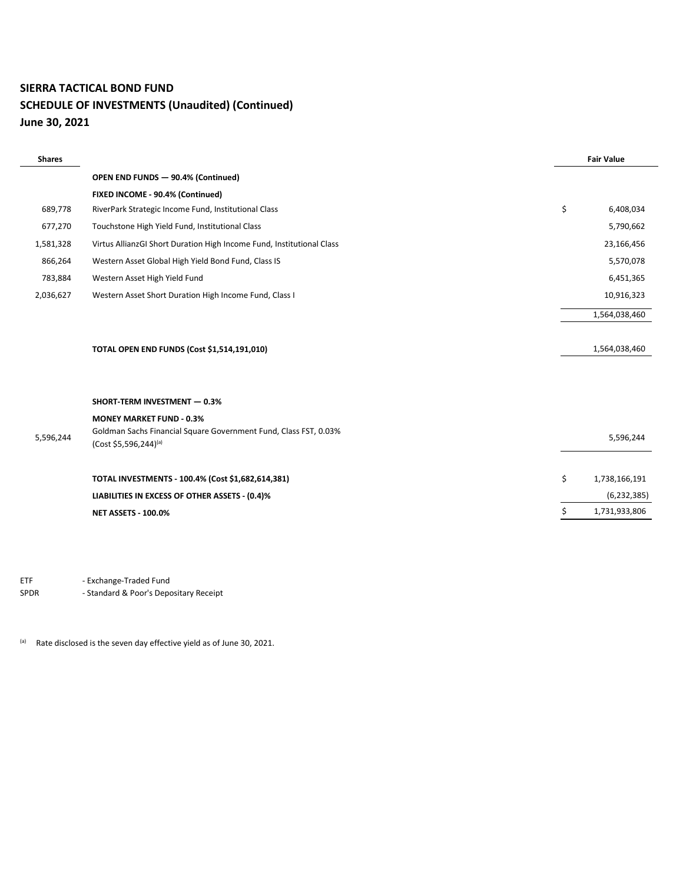#### **SIERRA TACTICAL BOND FUND**

#### **SCHEDULE OF INVESTMENTS (Unaudited) (Continued) June 30, 2021**

| <b>Shares</b> |                                                                                           | <b>Fair Value</b>   |
|---------------|-------------------------------------------------------------------------------------------|---------------------|
|               | OPEN END FUNDS - 90.4% (Continued)                                                        |                     |
|               | FIXED INCOME - 90.4% (Continued)                                                          |                     |
| 689,778       | RiverPark Strategic Income Fund, Institutional Class                                      | \$<br>6,408,034     |
| 677,270       | Touchstone High Yield Fund, Institutional Class                                           | 5,790,662           |
| 1,581,328     | Virtus AllianzGI Short Duration High Income Fund, Institutional Class                     | 23,166,456          |
| 866,264       | Western Asset Global High Yield Bond Fund, Class IS                                       | 5,570,078           |
| 783,884       | Western Asset High Yield Fund                                                             | 6,451,365           |
| 2,036,627     | Western Asset Short Duration High Income Fund, Class I                                    | 10,916,323          |
|               |                                                                                           | 1,564,038,460       |
|               |                                                                                           |                     |
|               | TOTAL OPEN END FUNDS (Cost \$1,514,191,010)                                               | 1,564,038,460       |
|               |                                                                                           |                     |
|               |                                                                                           |                     |
|               | <b>SHORT-TERM INVESTMENT - 0.3%</b>                                                       |                     |
|               | <b>MONEY MARKET FUND - 0.3%</b>                                                           |                     |
| 5,596,244     | Goldman Sachs Financial Square Government Fund, Class FST, 0.03%<br>(Cost \$5,596,244)(a) | 5,596,244           |
|               |                                                                                           |                     |
|               | TOTAL INVESTMENTS - 100.4% (Cost \$1,682,614,381)                                         | \$<br>1,738,166,191 |
|               | LIABILITIES IN EXCESS OF OTHER ASSETS - (0.4)%                                            | (6, 232, 385)       |
|               | <b>NET ASSETS - 100.0%</b>                                                                | \$<br>1,731,933,806 |

ETF - Exchange-Traded Fund SPDR - Standard & Poor's Depositary Receipt